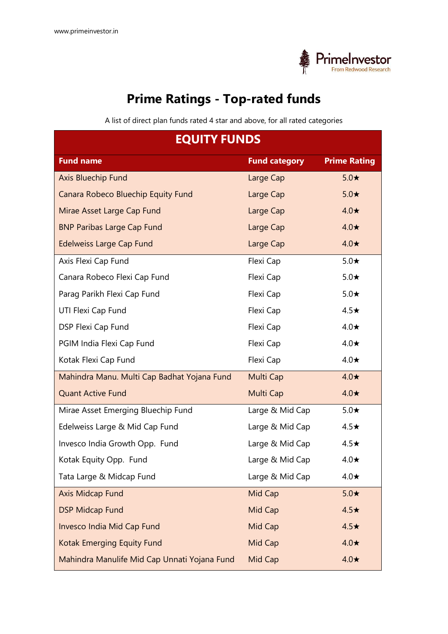

## **Prime Ratings - Top-rated funds**

A list of direct plan funds rated 4 star and above, for all rated categories

| <b>EQUITY FUNDS</b>                          |                      |                     |
|----------------------------------------------|----------------------|---------------------|
| <b>Fund name</b>                             | <b>Fund category</b> | <b>Prime Rating</b> |
| Axis Bluechip Fund                           | Large Cap            | $5.0\star$          |
| Canara Robeco Bluechip Equity Fund           | Large Cap            | $5.0\star$          |
| Mirae Asset Large Cap Fund                   | Large Cap            | $4.0\star$          |
| <b>BNP Paribas Large Cap Fund</b>            | Large Cap            | $4.0\star$          |
| <b>Edelweiss Large Cap Fund</b>              | Large Cap            | $4.0\star$          |
| Axis Flexi Cap Fund                          | Flexi Cap            | $5.0\star$          |
| Canara Robeco Flexi Cap Fund                 | Flexi Cap            | $5.0\star$          |
| Parag Parikh Flexi Cap Fund                  | Flexi Cap            | $5.0\star$          |
| UTI Flexi Cap Fund                           | Flexi Cap            | $4.5\star$          |
| DSP Flexi Cap Fund                           | Flexi Cap            | $4.0\star$          |
| PGIM India Flexi Cap Fund                    | Flexi Cap            | $4.0\star$          |
| Kotak Flexi Cap Fund                         | Flexi Cap            | $4.0\star$          |
| Mahindra Manu. Multi Cap Badhat Yojana Fund  | Multi Cap            | $4.0\star$          |
| <b>Quant Active Fund</b>                     | Multi Cap            | $4.0\star$          |
| Mirae Asset Emerging Bluechip Fund           | Large & Mid Cap      | $5.0\star$          |
| Edelweiss Large & Mid Cap Fund               | Large & Mid Cap      | $4.5\star$          |
| Invesco India Growth Opp. Fund               | Large & Mid Cap      | $4.5\star$          |
| Kotak Equity Opp. Fund                       | Large & Mid Cap      | $4.0\star$          |
| Tata Large & Midcap Fund                     | Large & Mid Cap      | $4.0\star$          |
| Axis Midcap Fund                             | Mid Cap              | $5.0\star$          |
| <b>DSP Midcap Fund</b>                       | Mid Cap              | $4.5\star$          |
| Invesco India Mid Cap Fund                   | Mid Cap              | $4.5\star$          |
| Kotak Emerging Equity Fund                   | Mid Cap              | $4.0\star$          |
| Mahindra Manulife Mid Cap Unnati Yojana Fund | Mid Cap              | $4.0\star$          |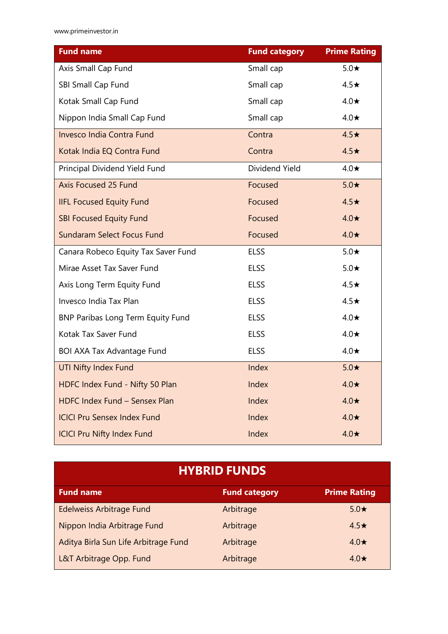www.primeinvestor.in

| <b>Fund name</b>                         | <b>Fund category</b> | <b>Prime Rating</b> |
|------------------------------------------|----------------------|---------------------|
| Axis Small Cap Fund                      | Small cap            | $5.0\star$          |
| SBI Small Cap Fund                       | Small cap            | $4.5\star$          |
| Kotak Small Cap Fund                     | Small cap            | $4.0\star$          |
| Nippon India Small Cap Fund              | Small cap            | $4.0\star$          |
| Invesco India Contra Fund                | Contra               | $4.5\star$          |
| Kotak India EQ Contra Fund               | Contra               | $4.5\star$          |
| Principal Dividend Yield Fund            | Dividend Yield       | $4.0\star$          |
| Axis Focused 25 Fund                     | Focused              | $5.0*$              |
| <b>IIFL Focused Equity Fund</b>          | Focused              | $4.5\star$          |
| <b>SBI Focused Equity Fund</b>           | Focused              | $4.0\star$          |
| Sundaram Select Focus Fund               | Focused              | $4.0\star$          |
| Canara Robeco Equity Tax Saver Fund      | <b>ELSS</b>          | $5.0\star$          |
| Mirae Asset Tax Saver Fund               | <b>ELSS</b>          | $5.0\star$          |
| Axis Long Term Equity Fund               | <b>ELSS</b>          | $4.5\star$          |
| Invesco India Tax Plan                   | <b>ELSS</b>          | $4.5\star$          |
| <b>BNP Paribas Long Term Equity Fund</b> | <b>ELSS</b>          | $4.0\star$          |
| Kotak Tax Saver Fund                     | <b>ELSS</b>          | $4.0\star$          |
| <b>BOI AXA Tax Advantage Fund</b>        | <b>ELSS</b>          | $4.0\star$          |
| <b>UTI Nifty Index Fund</b>              | Index                | $5.0*$              |
| HDFC Index Fund - Nifty 50 Plan          | Index                | $4.0\star$          |
| HDFC Index Fund - Sensex Plan            | Index                | $4.0\star$          |
| <b>ICICI Pru Sensex Index Fund</b>       | Index                | $4.0\star$          |
| <b>ICICI Pru Nifty Index Fund</b>        | Index                | $4.0\star$          |

## **HYBRID FUNDS**

| <b>Fund name</b>                     | <b>Fund category</b> | <b>Prime Rating</b> |
|--------------------------------------|----------------------|---------------------|
| Edelweiss Arbitrage Fund             | Arbitrage            | $5.0\star$          |
| Nippon India Arbitrage Fund          | Arbitrage            | $4.5\star$          |
| Aditya Birla Sun Life Arbitrage Fund | Arbitrage            | $4.0\star$          |
| L&T Arbitrage Opp. Fund              | Arbitrage            | $4.0\star$          |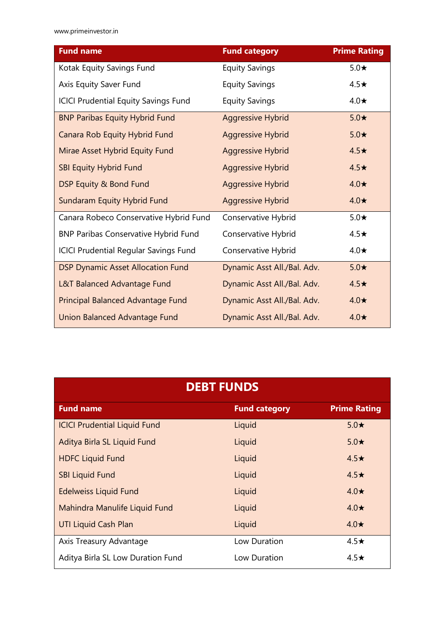| <b>Fund name</b>                             | <b>Fund category</b>        | <b>Prime Rating</b> |
|----------------------------------------------|-----------------------------|---------------------|
| Kotak Equity Savings Fund                    | <b>Equity Savings</b>       | $5.0\star$          |
| Axis Equity Saver Fund                       | <b>Equity Savings</b>       | $4.5\star$          |
| <b>ICICI Prudential Equity Savings Fund</b>  | <b>Equity Savings</b>       | $4.0\star$          |
| <b>BNP Paribas Equity Hybrid Fund</b>        | <b>Aggressive Hybrid</b>    | $5.0\star$          |
| Canara Rob Equity Hybrid Fund                | <b>Aggressive Hybrid</b>    | $5.0\star$          |
| Mirae Asset Hybrid Equity Fund               | <b>Aggressive Hybrid</b>    | $4.5\star$          |
| <b>SBI Equity Hybrid Fund</b>                | <b>Aggressive Hybrid</b>    | $4.5\star$          |
| DSP Equity & Bond Fund                       | <b>Aggressive Hybrid</b>    | $4.0\star$          |
| Sundaram Equity Hybrid Fund                  | <b>Aggressive Hybrid</b>    | $4.0\star$          |
| Canara Robeco Conservative Hybrid Fund       | Conservative Hybrid         | $5.0\star$          |
| <b>BNP Paribas Conservative Hybrid Fund</b>  | Conservative Hybrid         | $4.5\star$          |
| <b>ICICI Prudential Regular Savings Fund</b> | Conservative Hybrid         | $4.0\star$          |
| <b>DSP Dynamic Asset Allocation Fund</b>     | Dynamic Asst All./Bal. Adv. | $5.0\star$          |
| L&T Balanced Advantage Fund                  | Dynamic Asst All./Bal. Adv. | $4.5\star$          |
| Principal Balanced Advantage Fund            | Dynamic Asst All./Bal. Adv. | $4.0\star$          |
| Union Balanced Advantage Fund                | Dynamic Asst All./Bal. Adv. | $4.0\star$          |

| <b>DEBT FUNDS</b>                   |                      |                     |
|-------------------------------------|----------------------|---------------------|
| <b>Fund name</b>                    | <b>Fund category</b> | <b>Prime Rating</b> |
| <b>ICICI Prudential Liquid Fund</b> | Liquid               | $5.0\star$          |
| Aditya Birla SL Liquid Fund         | Liquid               | $5.0\star$          |
| <b>HDFC Liquid Fund</b>             | Liquid               | $4.5\star$          |
| <b>SBI Liquid Fund</b>              | Liquid               | $4.5\star$          |
| <b>Edelweiss Liquid Fund</b>        | Liquid               | $4.0\star$          |
| Mahindra Manulife Liquid Fund       | Liquid               | $4.0\star$          |
| <b>UTI Liquid Cash Plan</b>         | Liquid               | $4.0\star$          |
| Axis Treasury Advantage             | Low Duration         | $4.5\star$          |
| Aditya Birla SL Low Duration Fund   | Low Duration         | $4.5\star$          |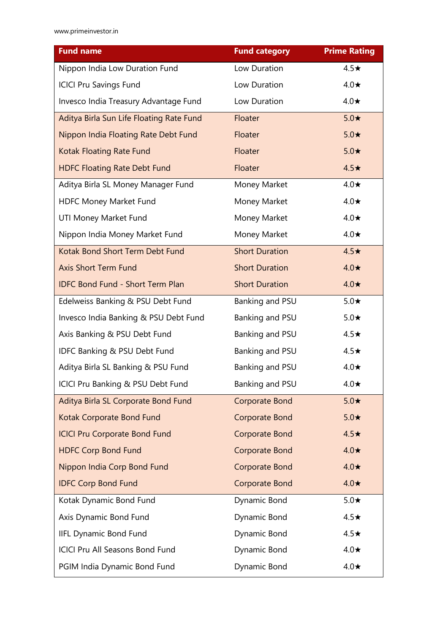| <b>Fund name</b>                         | <b>Fund category</b>  | <b>Prime Rating</b> |
|------------------------------------------|-----------------------|---------------------|
| Nippon India Low Duration Fund           | Low Duration          | $4.5\star$          |
| <b>ICICI Pru Savings Fund</b>            | Low Duration          | $4.0\star$          |
| Invesco India Treasury Advantage Fund    | Low Duration          | $4.0\star$          |
| Aditya Birla Sun Life Floating Rate Fund | Floater               | $5.0\star$          |
| Nippon India Floating Rate Debt Fund     | Floater               | $5.0\star$          |
| Kotak Floating Rate Fund                 | Floater               | $5.0\star$          |
| <b>HDFC Floating Rate Debt Fund</b>      | Floater               | $4.5\star$          |
| Aditya Birla SL Money Manager Fund       | Money Market          | $4.0\star$          |
| <b>HDFC Money Market Fund</b>            | Money Market          | $4.0\star$          |
| UTI Money Market Fund                    | Money Market          | $4.0\star$          |
| Nippon India Money Market Fund           | Money Market          | $4.0\star$          |
| Kotak Bond Short Term Debt Fund          | <b>Short Duration</b> | $4.5\star$          |
| <b>Axis Short Term Fund</b>              | <b>Short Duration</b> | $4.0\star$          |
| <b>IDFC Bond Fund - Short Term Plan</b>  | <b>Short Duration</b> | $4.0\star$          |
| Edelweiss Banking & PSU Debt Fund        | Banking and PSU       | $5.0\star$          |
| Invesco India Banking & PSU Debt Fund    | Banking and PSU       | $5.0\star$          |
| Axis Banking & PSU Debt Fund             | Banking and PSU       | $4.5\star$          |
| IDFC Banking & PSU Debt Fund             | Banking and PSU       | $4.5\star$          |
| Aditya Birla SL Banking & PSU Fund       | Banking and PSU       | $4.0\star$          |
| ICICI Pru Banking & PSU Debt Fund        | Banking and PSU       | $4.0\star$          |
| Aditya Birla SL Corporate Bond Fund      | <b>Corporate Bond</b> | $5.0\star$          |
| Kotak Corporate Bond Fund                | Corporate Bond        | $5.0\star$          |
| <b>ICICI Pru Corporate Bond Fund</b>     | Corporate Bond        | $4.5\star$          |
| <b>HDFC Corp Bond Fund</b>               | Corporate Bond        | $4.0\star$          |
| Nippon India Corp Bond Fund              | Corporate Bond        | $4.0\star$          |
| <b>IDFC Corp Bond Fund</b>               | Corporate Bond        | $4.0\star$          |
| Kotak Dynamic Bond Fund                  | Dynamic Bond          | $5.0\star$          |
| Axis Dynamic Bond Fund                   | Dynamic Bond          | $4.5\star$          |
| <b>IIFL Dynamic Bond Fund</b>            | Dynamic Bond          | $4.5\star$          |
| <b>ICICI Pru All Seasons Bond Fund</b>   | Dynamic Bond          | $4.0\star$          |
| PGIM India Dynamic Bond Fund             | Dynamic Bond          | $4.0\star$          |